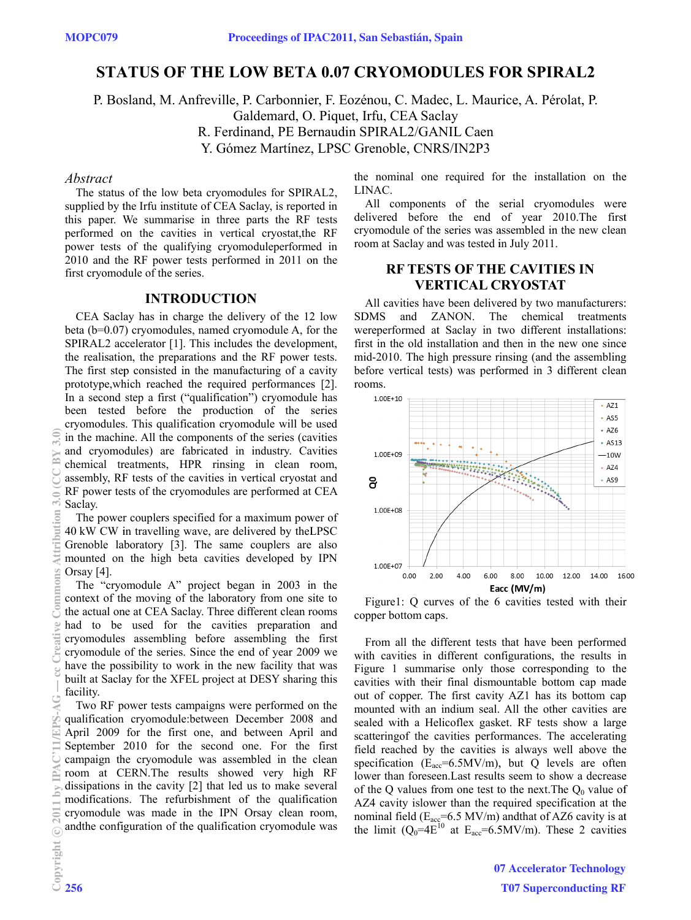# **STATUS OF THE LOW BETA 0.07 CRYOMODULES FOR SPIRAL2**

P. Bosland, M. Anfreville, P. Carbonnier, F. Eozénou, C. Madec, L. Maurice, A. Pérolat, P. Galdemard, O. Piquet, Irfu, CEA Saclay R. Ferdinand, PE Bernaudin SPIRAL2/GANIL Caen Y. Gómez Martínez, LPSC Grenoble, CNRS/IN2P3

#### Abstract

The status of the low beta cryomodules for SPIRAL2, supplied by the Irfu institute of CEA Saclay, is reported in this paper. We summarise in three parts the RF tests performed on the cavities in vertical cryostat, the RF power tests of the qualifying cryomodule performed in 2010 and the RF power tests performed in 2011 on the first cryomodule of the series.

### **INTRODUCTION**

CEA Saclay has in charge the delivery of the 12 low beta ( $b=0.07$ ) cryomodules, named cryomodule A, for the SPIRAL2 accelerator [1]. This includes the development, the realisation, the preparations and the RF power tests. The first step consisted in the manufacturing of a cavity prototype, which reached the required performances [2]. In a second step a first ("qualification") cryomodule has been tested before the production of the series cryomodules. This qualification cryomodule will be used in the machine. All the components of the series (cavities and cryomodules) are fabricated in industry. Cavities chemical treatments, HPR rinsing in clean room, assembly, RF tests of the cavities in vertical cryostat and RF power tests of the cryomodules are performed at CEA Saclay.

The power couplers specified for a maximum power of 40 kW CW in travelling wave, are delivered by the LPSC Grenoble laboratory [3]. The same couplers are also mounted on the high beta cavities developed by IPN Orsay [4].

The "cryomodule A" project began in 2003 in the context of the moving of the laboratory from one site to the actual one at CEA Saclay. Three different clean rooms had to be used for the cavities preparation and cryomodules assembling before assembling the first cryomodule of the series. Since the end of year 2009 we have the possibility to work in the new facility that was built at Saclay for the XFEL project at DESY sharing this facility.

Two RF power tests campaigns were performed on the qualification cryomodule:between December 2008 and April 2009 for the first one, and between April and September 2010 for the second one. For the first campaign the cryomodule was assembled in the clean room at CERN. The results showed very high RF dissipations in the cavity  $[2]$  that led us to make several modifications. The refurbishment of the qualification cryomodule was made in the IPN Orsay clean room, and the configuration of the qualification cryomodule was the nominal one required for the installation on the LINAC.

All components of the serial cryomodules were delivered before the end of year 2010. The first cryomodule of the series was assembled in the new clean room at Saclay and was tested in July 2011.

## **RETESTS OF THE CAVITIES IN VERTICAL CRYOSTAT**

All cavities have been delivered by two manufacturers: SDMS and ZANON. The chemical treatments wereperformed at Saclay in two different installations: first in the old installation and then in the new one since mid-2010. The high pressure rinsing (and the assembling before vertical tests) was performed in 3 different clean rooms



Figure 1: O curves of the 6 cavities tested with their copper bottom caps.

From all the different tests that have been performed with cavities in different configurations, the results in Figure 1 summarise only those corresponding to the cavities with their final dismountable bottom cap made out of copper. The first cavity AZ1 has its bottom cap mounted with an indium seal. All the other cavities are sealed with a Helicoflex gasket. RF tests show a large scattering of the cavities performances. The accelerating field reached by the cavities is always well above the specification ( $E_{\text{acc}}$ =6.5MV/m), but Q levels are often lower than foreseen. Last results seem to show a decrease of the Q values from one test to the next. The  $Q_0$  value of AZ4 cavity islower than the required specification at the nominal field ( $E_{\text{acc}}$ =6.5 MV/m) and<br>that of AZ6 cavity is at the limit ( $Q_0$ =4 $E^{10}$  at  $E_{\text{acc}}$ =6.5MV/m). These 2 cavities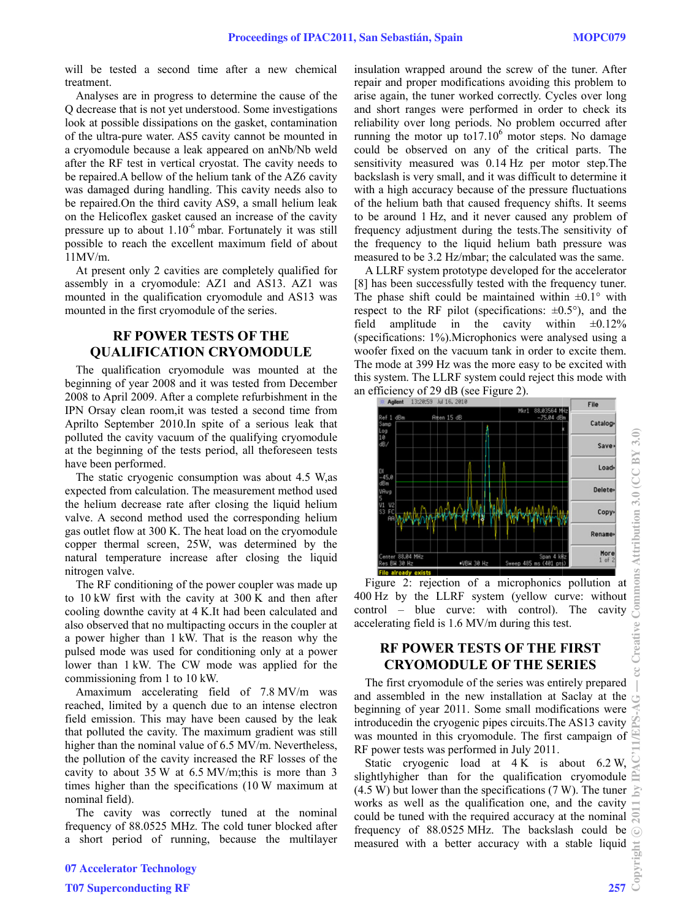will be tested a second time after a new chemical treatment.

Analyses are in progress to determine the cause of the Q decrease th hat is not yet u understood. S ome investiga ations look at possible dissipations on the gasket, contamination of the ultra-pure water. AS5 cavity cannot be mounted in a cryomodul le because a l eak appeared on anNb/Nb weld after the RF test in vertical cryostat. The cavity needs to be repaired. A bellow of the helium tank of the AZ6 cavity was damaged during handling. This cavity needs also to be repaired. On the third cavity AS9, a small helium leak on the Helicoflex gasket caused an increase of the cavity pressure up to about  $1.10^{-6}$  mbar. Fortunately it was still possible to reach the excellent maximum field of about 11MV/m.

At present only 2 cavities are completely qualified for assembly in a cryomodule: AZ1 and AS13. AZ1 was mounted in the qualification cryomodule and AS13 was mounted in the first cryomodule of the series.

## **RF F POWER R TESTS OF F THE QUAL LIFICATIO ON CRYO MODULE**

The qualification cryomodule was mounted at the beginning of year 2008 and it was tested from December 2008 to April 2009. After a complete refurbishment in the IPN Orsay clean room, it was tested a second time from Aprilto September 2010. In spite of a serious leak that polluted the cavity vacuum of the qualifying cryomodule at the beginning of the tests period, all theforeseen tests have been performed.

The static cryogenic consumption was about 4.5 W, as expected from calculation. The measurement method used the helium decrease rate after closing the liquid helium valve. A second method used the corresponding helium gas outlet flow at 300 K. The heat load on the cryomodule copper thermal screen, 25W, was determined by the natural temperature increase after closing the liquid nitrogen valve.

The RF conditioning of the power coupler was made up to  $10 \text{ kW}$  first with the cavity at  $300 \text{ K}$  and then after cooling downthe cavity at 4 K.It had been calculated and also observed that no multipacting occurs in the coupler at a power higher than 1 kW. That is the reason why the pulsed mode was used for conditioning only at a power lower than 1 kW. The CW mode was applied for the commissioning from 1 to 10 kW.

Amaximum accelerating field of 7.8 MV/m was reached, limited by a quench due to an intense electron field emission. This may have been caused by the leak that polluted the cavity. The maximum gradient was still higher than the nominal value of 6.5 MV/m. Nevertheless, the pollution of the cavity increased the RF losses of the cavity to about  $35 W$  at  $6.5 MV/m;$ this is more than  $3$ times higher than the specifications (10 W maximum at nominal field).

The cavity was correctly tuned at the nominal frequency of 88.0525 MHz. The cold tuner blocked after a short period of running, because the multilayer

insulation wrapped around the screw of the tuner. After repair and proper modifications avoiding this problem to arise again, the tuner worked correctly. Cycles over long and short ranges were performed in order to check its reliability over long periods. No problem occurred after reliability over long periods. No problem occurred after<br>running the motor up to17.10<sup>6</sup> motor steps. No damage could be observed on any of the critical parts. The sensitivity measured was 0.14 Hz per motor step. The backslash is very small, and it was difficult to determine it with a high accuracy because of the pressure fluctuations of the helium bath that caused frequency shifts. It seems to be around 1 Hz, and it never caused any problem of frequency adjustment during the tests. The sensitivity of the frequency to the liquid helium bath pressure was measured to be 3.2 Hz/mbar; the calculated was the same. Proceedings of IPAC2011, San Sebastián, Spain MOPC079<br>
The transmitted insulation wappell around the strew of the tart. After one of the commune the cause of the strew insulation and spain the nare were determined by chos

A LLRF system prototype developed for the accelerator [8] h has been succ essfully tested d with the fre quency tuner. The phase shift could be maintained within  $\pm 0.1^\circ$  with respect to the RF pilot (specifications:  $\pm 0.5^{\circ}$ ), and the field (specifications: 1%). Microphonics were analysed using a woofer fixed on the vacuum tank in order to excite them. The mode at 399 Hz was the more easy to be excited with this s system. The L LLRF system c could reject th his mode with an efficiency of 29 dB (see Figure 2). amplitude in the cavity within  $\pm 0.12\%$ 



Figure 2: rejection of a microphonics pollution at 400 Hz by the L LLRF system m (yellow cu urve: without control – blue curve: with control). The cavity accelerating field is 1.6 MV/m during this test.

## **RF POWE ER TESTS S OF THE F FIRST CRYOM MODULE O OF THE SE ERIES**

The first cryomodule of the series was entirely prepared and assembled in the new installation at Saclay at the beginning of year 2011. Some small modifications were introducedin the cryogenic pipes circuits. The AS13 cavity was mounted in this cryomodule. The first campaign of RF power tests was performed in July 2011.

Static cryogenic load at  $4 K$  is about  $6.2 W$ , slightlyhigher than for the qualification cryomodule  $(4.5 W)$  but lower than the specifications  $(7 W)$ . The tuner works as well as the qualification one, and the cavity could be tuned with the required accuracy at the nominal frequency of 88.0525 MHz. The backslash could be measured with a better accuracy with a stable liquid